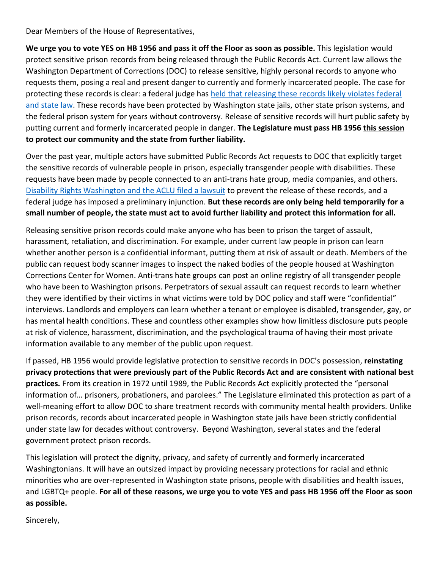Dear Members of the House of Representatives,

**We urge you to vote YES on HB 1956 and pass it off the Floor as soon as possible.** This legislation would protect sensitive prison records from being released through the Public Records Act. Current law allows the Washington Department of Corrections (DOC) to release sensitive, highly personal records to anyone who requests them, posing a real and present danger to currently and formerly incarcerated people. The case for protecting these records is clear: a federal judge has held [that releasing these records likely](https://www.disabilityrightswa.org/wp-content/uploads/2017/10/DOES-v-WA-Dept-of-Corrections_Preliminary-Injunction-Order.pdf) violates federal [and state law.](https://www.disabilityrightswa.org/wp-content/uploads/2017/10/DOES-v-WA-Dept-of-Corrections_Preliminary-Injunction-Order.pdf) These records have been protected by Washington state jails, other state prison systems, and the federal prison system for years without controversy. Release of sensitive records will hurt public safety by putting current and formerly incarcerated people in danger. **The Legislature must pass HB 1956 this session to protect our community and the state from further liability.**

Over the past year, multiple actors have submitted Public Records Act requests to DOC that explicitly target the sensitive records of vulnerable people in prison, especially transgender people with disabilities. These requests have been made by people connected to an anti-trans hate group, media companies, and others. [Disability Rights Washington](https://www.disabilityrightswa.org/cases/does-v-washington-department-of-corrections/) and the ACLU filed a lawsuit to prevent the release of these records, and a federal judge has imposed a preliminary injunction. **But these records are only being held temporarily for a small number of people, the state must act to avoid further liability and protect this information for all.** 

Releasing sensitive prison records could make anyone who has been to prison the target of assault, harassment, retaliation, and discrimination. For example, under current law people in prison can learn whether another person is a confidential informant, putting them at risk of assault or death. Members of the public can request body scanner images to inspect the naked bodies of the people housed at Washington Corrections Center for Women. Anti-trans hate groups can post an online registry of all transgender people who have been to Washington prisons. Perpetrators of sexual assault can request records to learn whether they were identified by their victims in what victims were told by DOC policy and staff were "confidential" interviews. Landlords and employers can learn whether a tenant or employee is disabled, transgender, gay, or has mental health conditions. These and countless other examples show how limitless disclosure puts people at risk of violence, harassment, discrimination, and the psychological trauma of having their most private information available to any member of the public upon request.

If passed, HB 1956 would provide legislative protection to sensitive records in DOC's possession, **reinstating privacy protections that were previously part of the Public Records Act and are consistent with national best practices.** From its creation in 1972 until 1989, the Public Records Act explicitly protected the "personal information of… prisoners, probationers, and parolees." The Legislature eliminated this protection as part of a well-meaning effort to allow DOC to share treatment records with community mental health providers. Unlike prison records, records about incarcerated people in Washington state jails have been strictly confidential under state law for decades without controversy. Beyond Washington, several states and the federal government protect prison records.

This legislation will protect the dignity, privacy, and safety of currently and formerly incarcerated Washingtonians. It will have an outsized impact by providing necessary protections for racial and ethnic minorities who are over-represented in Washington state prisons, people with disabilities and health issues, and LGBTQ+ people. **For all of these reasons, we urge you to vote YES and pass HB 1956 off the Floor as soon as possible.** 

Sincerely,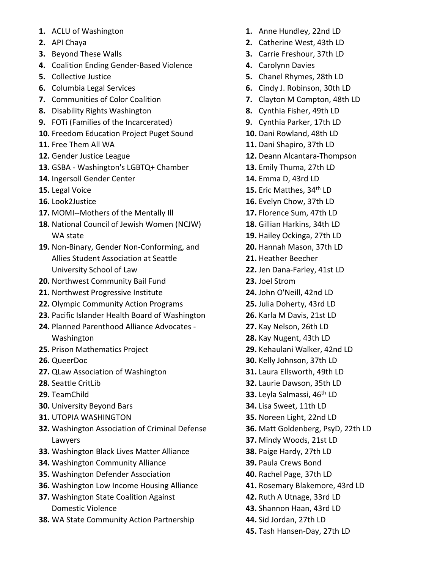- **1.** ACLU of Washington
- **2.** API Chaya
- **3.** Beyond These Walls
- **4.** Coalition Ending Gender-Based Violence
- **5.** Collective Justice
- **6.** Columbia Legal Services
- **7.** Communities of Color Coalition
- **8.** Disability Rights Washington
- **9.** FOTi (Families of the Incarcerated)
- **10.** Freedom Education Project Puget Sound
- **11.** Free Them All WA
- **12.** Gender Justice League
- **13.** GSBA Washington's LGBTQ+ Chamber
- **14.** Ingersoll Gender Center
- **15.** Legal Voice
- **16.** Look2Justice
- **17.** MOMI--Mothers of the Mentally Ill
- **18.** National Council of Jewish Women (NCJW) WA state
- **19.** Non-Binary, Gender Non-Conforming, and Allies Student Association at Seattle University School of Law
- **20.** Northwest Community Bail Fund
- **21.** Northwest Progressive Institute
- **22.** Olympic Community Action Programs
- **23.** Pacific Islander Health Board of Washington
- **24.** Planned Parenthood Alliance Advocates Washington
- **25.** Prison Mathematics Project
- **26.** QueerDoc
- **27.** QLaw Association of Washington
- **28.** Seattle CritLib
- **29.** TeamChild
- **30.** University Beyond Bars
- **31.** UTOPIA WASHINGTON
- **32.** Washington Association of Criminal Defense Lawyers
- **33.** Washington Black Lives Matter Alliance
- **34.** Washington Community Alliance
- **35.** Washington Defender Association
- **36.** Washington Low Income Housing Alliance
- **37.** Washington State Coalition Against Domestic Violence
- **38.** WA State Community Action Partnership
- **1.** Anne Hundley, 22nd LD
- **2.** Catherine West, 43th LD
- **3.** Carrie Freshour, 37th LD
- **4.** Carolynn Davies
- **5.** Chanel Rhymes, 28th LD
- **6.** Cindy J. Robinson, 30th LD
- **7.** Clayton M Compton, 48th LD
- **8.** Cynthia Fisher, 49th LD
- **9.** Cynthia Parker, 17th LD
- **10.** Dani Rowland, 48th LD
- **11.** Dani Shapiro, 37th LD
- **12.** Deann Alcantara-Thompson
- **13.** Emily Thuma, 27th LD
- **14.** Emma D, 43rd LD
- **15.** Eric Matthes, 34<sup>th</sup> LD
- **16.** Evelyn Chow, 37th LD
- **17.** Florence Sum, 47th LD
- **18.** Gillian Harkins, 34th LD
- **19.** Hailey Ockinga, 27th LD
- **20.** Hannah Mason, 37th LD
- **21.** Heather Beecher
- **22.** Jen Dana-Farley, 41st LD
- **23.** Joel Strom
- **24.** John O'Neill, 42nd LD
- **25.** Julia Doherty, 43rd LD
- **26.** Karla M Davis, 21st LD
- **27.** Kay Nelson, 26th LD
- **28.** Kay Nugent, 43th LD
- **29.** Kehaulani Walker, 42nd LD
- **30.** Kelly Johnson, 37th LD
- **31.** Laura Ellsworth, 49th LD
- **32.** Laurie Dawson, 35th LD
- **33.** Leyla Salmassi, 46th LD
- **34.** Lisa Sweet, 11th LD
- **35.** Noreen Light, 22nd LD
- **36.** Matt Goldenberg, PsyD, 22th LD
- **37.** Mindy Woods, 21st LD
- **38.** Paige Hardy, 27th LD
- **39.** Paula Crews Bond
- **40.** Rachel Page, 37th LD
- **41.** Rosemary Blakemore, 43rd LD
- **42.** Ruth A Utnage, 33rd LD
- **43.** Shannon Haan, 43rd LD
- **44.** Sid Jordan, 27th LD
- **45.** Tash Hansen-Day, 27th LD